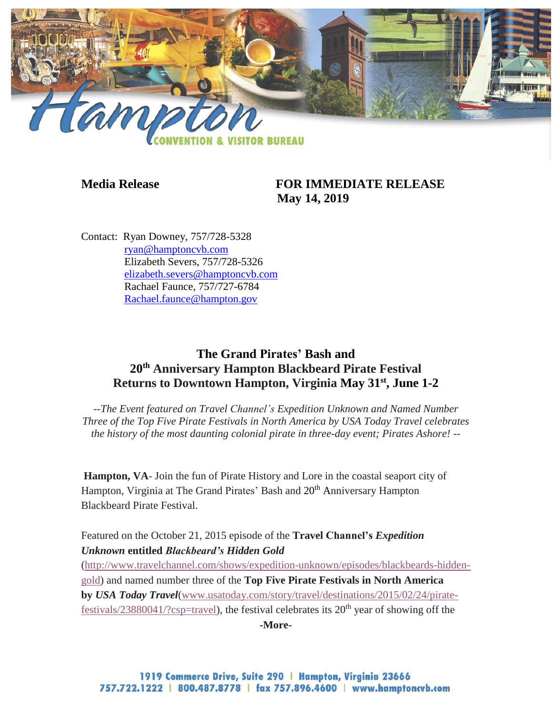

## **Media Release FOR IMMEDIATE RELEASE May 14, 2019**

Contact: Ryan Downey, 757/728-5328 [ryan@hamptoncvb.com](mailto:ryan@hamptoncvb.com) Elizabeth Severs, 757/728-5326 [elizabeth.severs@hamptoncvb.com](mailto:elizabeth.severs@hamptoncvb.com) Rachael Faunce, 757/727-6784 Rachael.faunce@hampton.gov

# **The Grand Pirates' Bash and 20th Anniversary Hampton Blackbeard Pirate Festival Returns to Downtown Hampton, Virginia May 31st , June 1-2**

*--The Event featured on Travel Channel's Expedition Unknown and Named Number Three of the Top Five Pirate Festivals in North America by USA Today Travel celebrates the history of the most daunting colonial pirate in three-day event; Pirates Ashore! --*

**Hampton, VA**- Join the fun of Pirate History and Lore in the coastal seaport city of Hampton, Virginia at The Grand Pirates' Bash and 20<sup>th</sup> Anniversary Hampton Blackbeard Pirate Festival.

## Featured on the October 21, 2015 episode of the **Travel Channel's** *Expedition Unknown* **entitled** *Blackbeard's Hidden Gold*

[\(http://www.travelchannel.com/shows/expedition-unknown/episodes/blackbeards-hidden](http://www.travelchannel.com/shows/expedition-unknown/episodes/blackbeards-hidden-gold)[gold\)](http://www.travelchannel.com/shows/expedition-unknown/episodes/blackbeards-hidden-gold) and named number three of the **Top Five Pirate Festivals in North America by** *USA Today Travel*[\(www.usatoday.com/story/travel/destinations/2015/02/24/pirate](http://www.usatoday.com/story/travel/destinations/2015/02/24/pirate-festivals/23880041/?csp=travel)[festivals/23880041/?csp=travel\)](http://www.usatoday.com/story/travel/destinations/2015/02/24/pirate-festivals/23880041/?csp=travel), the festival celebrates its  $20<sup>th</sup>$  year of showing off the **-More-**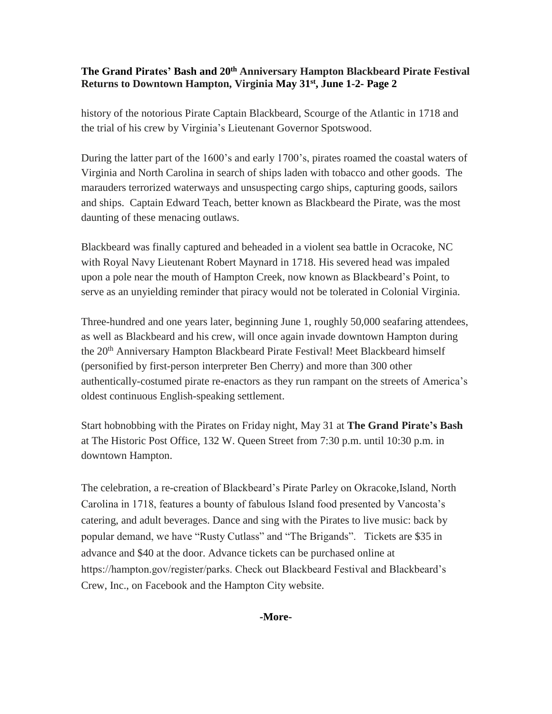history of the notorious Pirate Captain Blackbeard, Scourge of the Atlantic in 1718 and the trial of his crew by Virginia's Lieutenant Governor Spotswood.

During the latter part of the 1600's and early 1700's, pirates roamed the coastal waters of Virginia and North Carolina in search of ships laden with tobacco and other goods. The marauders terrorized waterways and unsuspecting cargo ships, capturing goods, sailors and ships. Captain Edward Teach, better known as Blackbeard the Pirate, was the most daunting of these menacing outlaws.

Blackbeard was finally captured and beheaded in a violent sea battle in Ocracoke, NC with Royal Navy Lieutenant Robert Maynard in 1718. His severed head was impaled upon a pole near the mouth of Hampton Creek, now known as Blackbeard's Point, to serve as an unyielding reminder that piracy would not be tolerated in Colonial Virginia.

Three-hundred and one years later, beginning June 1, roughly 50,000 seafaring attendees, as well as Blackbeard and his crew, will once again invade downtown Hampton during the 20<sup>th</sup> Anniversary Hampton Blackbeard Pirate Festival! Meet Blackbeard himself (personified by first-person interpreter Ben Cherry) and more than 300 other authentically-costumed pirate re-enactors as they run rampant on the streets of America's oldest continuous English-speaking settlement.

Start hobnobbing with the Pirates on Friday night, May 31 at **The Grand Pirate's Bash** at The Historic Post Office, 132 W. Queen Street from 7:30 p.m. until 10:30 p.m. in downtown Hampton.

The celebration, a re-creation of Blackbeard's Pirate Parley on Okracoke,Island, North Carolina in 1718, features a bounty of fabulous Island food presented by Vancosta's catering, and adult beverages. Dance and sing with the Pirates to live music: back by popular demand, we have "Rusty Cutlass" and "The Brigands". Tickets are \$35 in advance and \$40 at the door. Advance tickets can be purchased online at https://hampton.gov/register/parks. Check out Blackbeard Festival and Blackbeard's Crew, Inc., on Facebook and the Hampton City website.

#### **-More-**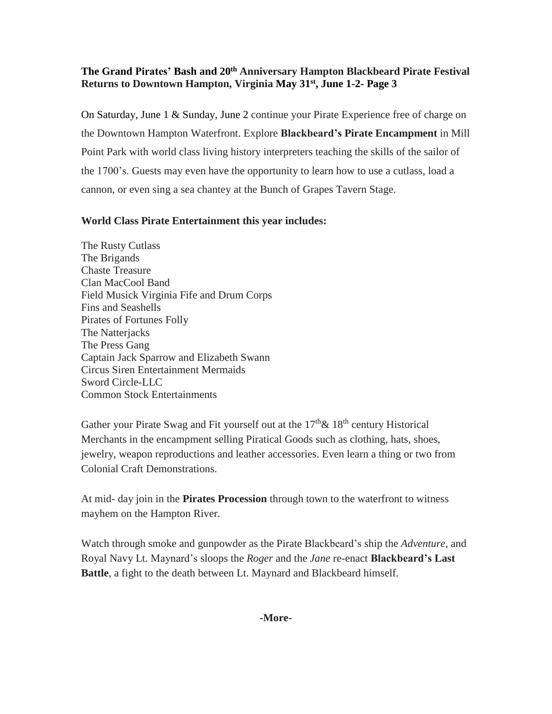On Saturday, June 1 & Sunday, June 2 continue your Pirate Experience free of charge on the Downtown Hampton Waterfront. Explore **Blackbeard's Pirate Encampment** in Mill Point Park with world class living history interpreters teaching the skills of the sailor of the 1700's. Guests may even have the opportunity to learn how to use a cutlass, load a cannon, or even sing a sea chantey at the Bunch of Grapes Tavern Stage.

#### **World Class Pirate Entertainment this year includes:**

The Rusty Cutlass The Brigands Chaste Treasure Clan MacCool Band Field Musick Virginia Fife and Drum Corps Fins and Seashells Pirates of Fortunes Folly The Natterjacks The Press Gang Captain Jack Sparrow and Elizabeth Swann Circus Siren Entertainment Mermaids Sword Circle-LLC Common Stock Entertainments

Gather your Pirate Swag and Fit yourself out at the  $17<sup>th</sup> \& 18<sup>th</sup>$  century Historical Merchants in the encampment selling Piratical Goods such as clothing, hats, shoes, jewelry, weapon reproductions and leather accessories. Even learn a thing or two from Colonial Craft Demonstrations.

At mid- day join in the **Pirates Procession** through town to the waterfront to witness mayhem on the Hampton River.

Watch through smoke and gunpowder as the Pirate Blackbeard's ship the *Adventure*, and Royal Navy Lt. Maynard's sloops the *Roger* and the *Jane* re-enact **Blackbeard's Last Battle**, a fight to the death between Lt. Maynard and Blackbeard himself.

#### **-More-**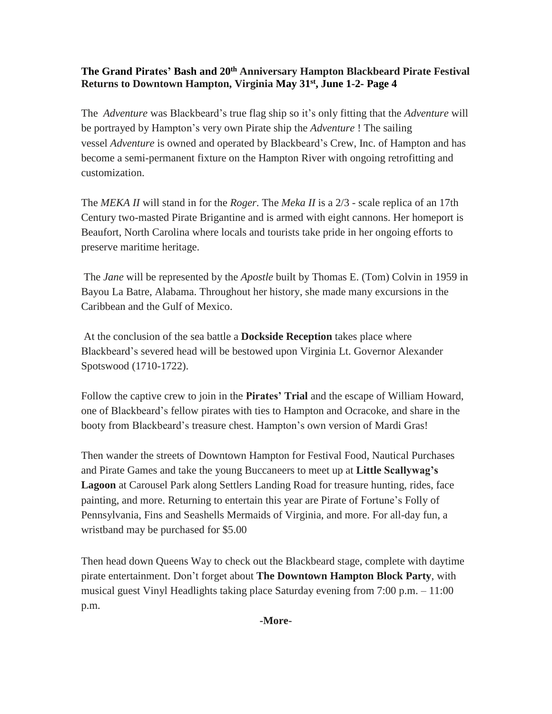The *Adventure* was Blackbeard's true flag ship so it's only fitting that the *Adventure* will be portrayed by Hampton's very own Pirate ship the *Adventure* ! The sailing vessel *Adventure* is owned and operated by Blackbeard's Crew, Inc. of Hampton and has become a semi-permanent fixture on the Hampton River with ongoing retrofitting and customization.

The *MEKA II* will stand in for the *Roger*. The *Meka II* is a 2/3 - scale replica of an 17th Century two-masted Pirate Brigantine and is armed with eight cannons. Her homeport is Beaufort, North Carolina where locals and tourists take pride in her ongoing efforts to preserve maritime heritage.

The *Jane* will be represented by the *Apostle* built by Thomas E. (Tom) Colvin in 1959 in Bayou La Batre, Alabama. Throughout her history, she made many excursions in the Caribbean and the Gulf of Mexico.

At the conclusion of the sea battle a **Dockside Reception** takes place where Blackbeard's severed head will be bestowed upon Virginia Lt. Governor Alexander Spotswood (1710-1722).

Follow the captive crew to join in the **Pirates' Trial** and the escape of William Howard, one of Blackbeard's fellow pirates with ties to Hampton and Ocracoke, and share in the booty from Blackbeard's treasure chest. Hampton's own version of Mardi Gras!

Then wander the streets of Downtown Hampton for Festival Food, Nautical Purchases and Pirate Games and take the young Buccaneers to meet up at **Little Scallywag's Lagoon** at Carousel Park along Settlers Landing Road for treasure hunting, rides, face painting, and more. Returning to entertain this year are Pirate of Fortune's Folly of Pennsylvania, Fins and Seashells Mermaids of Virginia, and more. For all-day fun, a wristband may be purchased for \$5.00

Then head down Queens Way to check out the Blackbeard stage, complete with daytime pirate entertainment. Don't forget about **The Downtown Hampton Block Party**, with musical guest Vinyl Headlights taking place Saturday evening from 7:00 p.m. – 11:00 p.m.

**-More-**